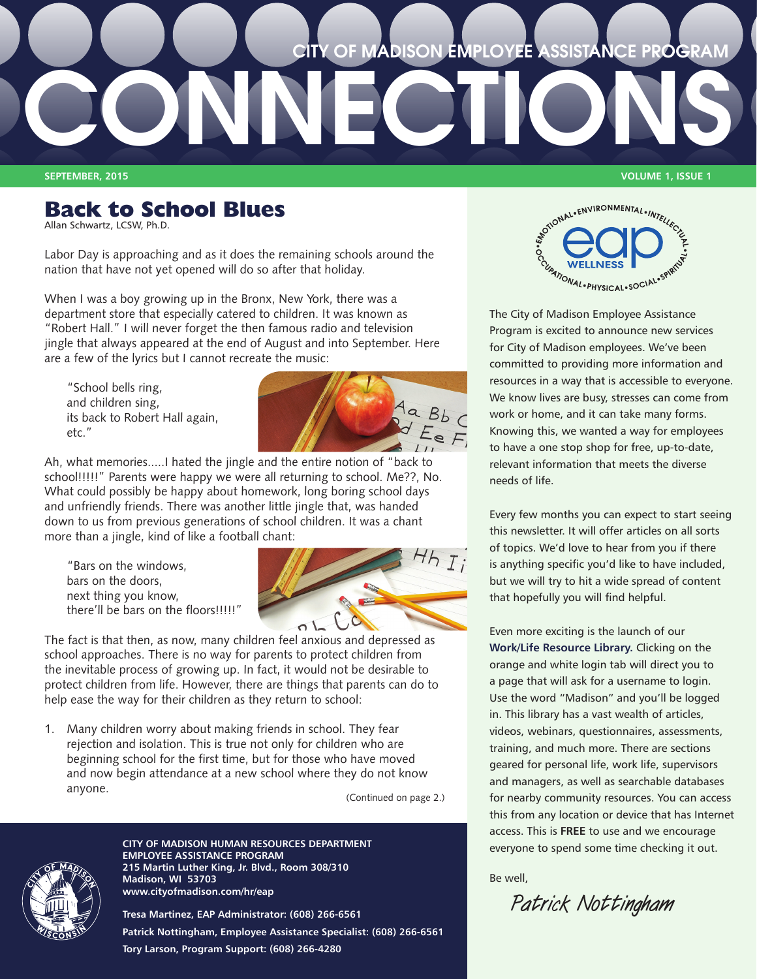# **CONNECTIONS CITY OF MADISON EMPLOYEE ASSISTANCE PROGRAM**

**SEPTEMBER, 2015 VOLUME 1, ISSUE 1**

# **Back to School Blues**

Allan Schwartz, LCSW, Ph.D.

Labor Day is approaching and as it does the remaining schools around the nation that have not yet opened will do so after that holiday.

When I was a boy growing up in the Bronx, New York, there was a department store that especially catered to children. It was known as "Robert Hall." I will never forget the then famous radio and television jingle that always appeared at the end of August and into September. Here are a few of the lyrics but I cannot recreate the music:

"School bells ring, and children sing, its back to Robert Hall again, etc."



Ah, what memories.....I hated the jingle and the entire notion of "back to school!!!!!" Parents were happy we were all returning to school. Me??, No. What could possibly be happy about homework, long boring school days and unfriendly friends. There was another little jingle that, was handed down to us from previous generations of school children. It was a chant more than a jingle, kind of like a football chant:

"Bars on the windows, bars on the doors, next thing you know, there'll be bars on the floors!!!!!"



The fact is that then, as now, many children feel anxious and depressed as school approaches. There is no way for parents to protect children from the inevitable process of growing up. In fact, it would not be desirable to protect children from life. However, there are things that parents can do to help ease the way for their children as they return to school:

1. Many children worry about making friends in school. They fear rejection and isolation. This is true not only for children who are beginning school for the first time, but for those who have moved and now begin attendance at a new school where they do not know anyone.

(Continued on page 2.)



**CITY OF MADISON HUMAN RESOURCES DEPARTMENT EMPLOYEE ASSISTANCE PROGRAM 215 Martin Luther King, Jr. Blvd., Room 308/310 Madison, WI 53703 www.cityofmadison.com/hr/eap**

**Tresa Martinez, EAP Administrator: (608) 266-6561 Patrick Nottingham, Employee Assistance Specialist: (608) 266-6561 Tory Larson, Program Support: (608) 266-4280**



The City of Madison Employee Assistance Program is excited to announce new services for City of Madison employees. We've been committed to providing more information and resources in a way that is accessible to everyone. We know lives are busy, stresses can come from work or home, and it can take many forms. Knowing this, we wanted a way for employees to have a one stop shop for free, up-to-date, relevant information that meets the diverse needs of life.

Every few months you can expect to start seeing this newsletter. It will offer articles on all sorts of topics. We'd love to hear from you if there is anything specific you'd like to have included, but we will try to hit a wide spread of content that hopefully you will find helpful.

Even more exciting is the launch of our **[Work/Life Resource Library.](http://www.impactinc.org/employee-assistance-program)** Clicking on the orange and white login tab will direct you to a page that will ask for a username to login. Use the word "Madison" and you'll be logged in. This library has a vast wealth of articles, videos, webinars, questionnaires, assessments, training, and much more. There are sections geared for personal life, work life, supervisors and managers, as well as searchable databases for nearby community resources. You can access this from any location or device that has Internet access. This is **FREE** to use and we encourage everyone to spend some time checking it out.

Be well,

**Patrick Nottingham**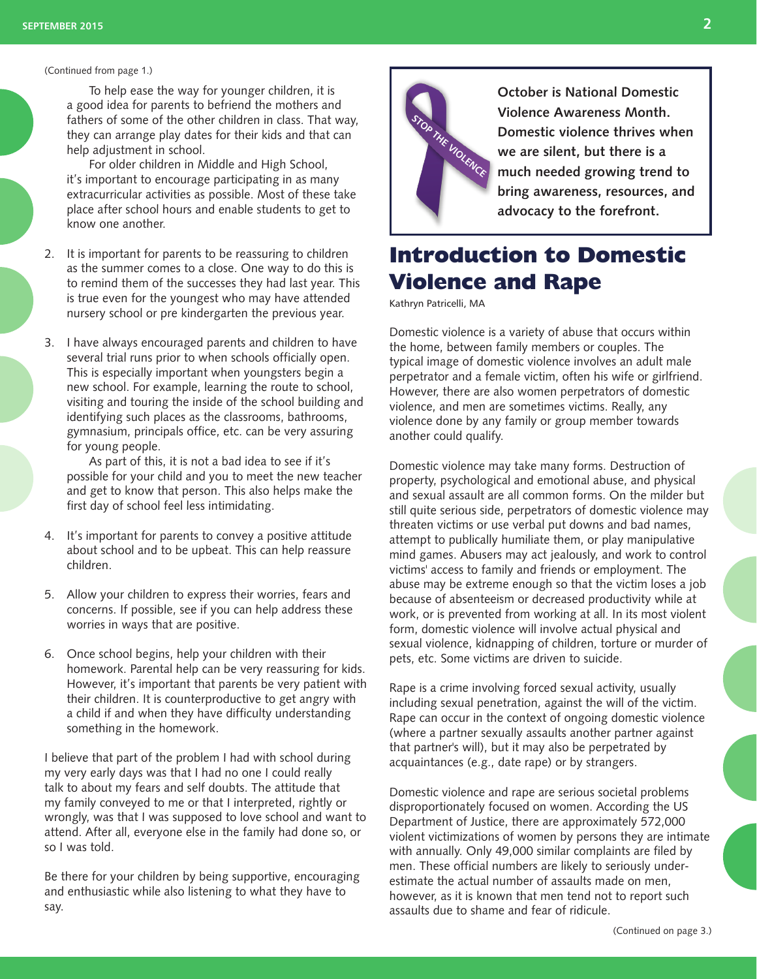#### (Continued from page 1.)

To help ease the way for younger children, it is a good idea for parents to befriend the mothers and fathers of some of the other children in class. That way, they can arrange play dates for their kids and that can help adjustment in school.

For older children in Middle and High School, it's important to encourage participating in as many extracurricular activities as possible. Most of these take place after school hours and enable students to get to know one another.

- 2. It is important for parents to be reassuring to children as the summer comes to a close. One way to do this is to remind them of the successes they had last year. This is true even for the youngest who may have attended nursery school or pre kindergarten the previous year.
- 3. I have always encouraged parents and children to have several trial runs prior to when schools officially open. This is especially important when youngsters begin a new school. For example, learning the route to school, visiting and touring the inside of the school building and identifying such places as the classrooms, bathrooms, gymnasium, principals office, etc. can be very assuring for young people.

As part of this, it is not a bad idea to see if it's possible for your child and you to meet the new teacher and get to know that person. This also helps make the first day of school feel less intimidating.

- 4. It's important for parents to convey a positive attitude about school and to be upbeat. This can help reassure children.
- 5. Allow your children to express their worries, fears and concerns. If possible, see if you can help address these worries in ways that are positive.
- 6. Once school begins, help your children with their homework. Parental help can be very reassuring for kids. However, it's important that parents be very patient with their children. It is counterproductive to get angry with a child if and when they have difficulty understanding something in the homework.

I believe that part of the problem I had with school during my very early days was that I had no one I could really talk to about my fears and self doubts. The attitude that my family conveyed to me or that I interpreted, rightly or wrongly, was that I was supposed to love school and want to attend. After all, everyone else in the family had done so, or so I was told.

Be there for your children by being supportive, encouraging and enthusiastic while also listening to what they have to say.



**October is National Domestic Violence Awareness Month. Domestic violence thrives when we are silent, but there is a much needed growing trend to bring awareness, resources, and advocacy to the forefront.** 

# **Introduction to Domestic Violence and Rape**

Kathryn Patricelli, MA

Domestic violence is a variety of abuse that occurs within the home, between family members or couples. The typical image of domestic violence involves an adult male perpetrator and a female victim, often his wife or girlfriend. However, there are also women perpetrators of domestic violence, and men are sometimes victims. Really, any violence done by any family or group member towards another could qualify.

Domestic violence may take many forms. Destruction of property, psychological and emotional abuse, and physical and sexual assault are all common forms. On the milder but still quite serious side, perpetrators of domestic violence may threaten victims or use verbal put downs and bad names, attempt to publically humiliate them, or play manipulative mind games. Abusers may act jealously, and work to control victims' access to family and friends or employment. The abuse may be extreme enough so that the victim loses a job because of absenteeism or decreased productivity while at work, or is prevented from working at all. In its most violent form, domestic violence will involve actual physical and sexual violence, kidnapping of children, torture or murder of pets, etc. Some victims are driven to suicide.

Rape is a crime involving forced sexual activity, usually including sexual penetration, against the will of the victim. Rape can occur in the context of ongoing domestic violence (where a partner sexually assaults another partner against that partner's will), but it may also be perpetrated by acquaintances (e.g., date rape) or by strangers.

Domestic violence and rape are serious societal problems disproportionately focused on women. According the US Department of Justice, there are approximately 572,000 violent victimizations of women by persons they are intimate with annually. Only 49,000 similar complaints are filed by men. These official numbers are likely to seriously underestimate the actual number of assaults made on men, however, as it is known that men tend not to report such assaults due to shame and fear of ridicule.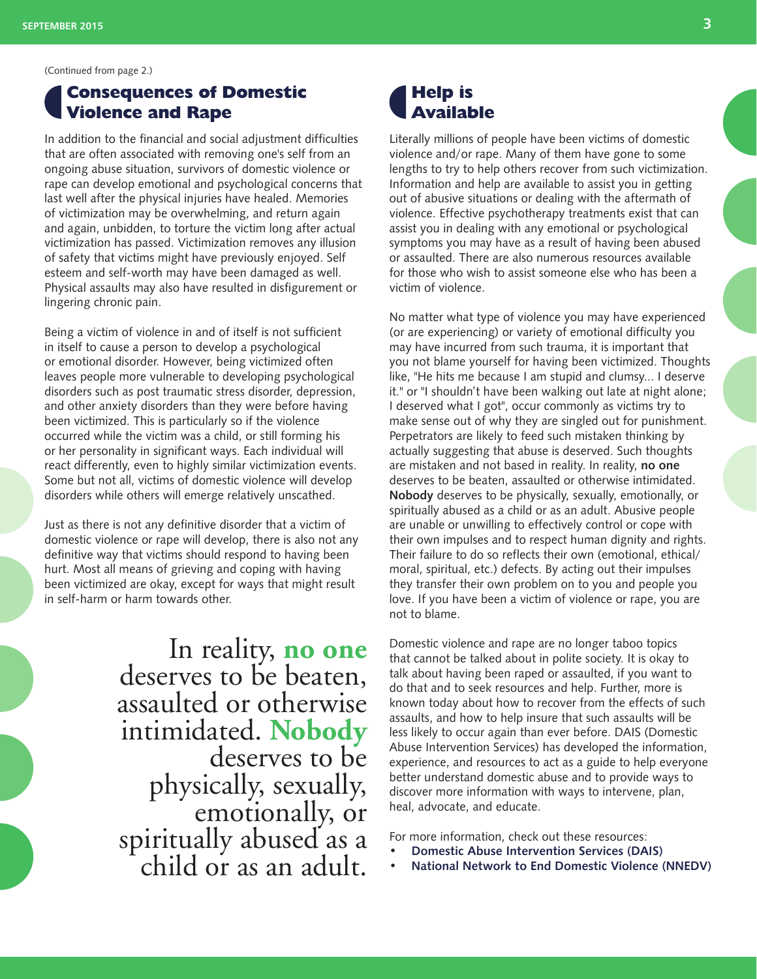## **Consequences of Domestic Violence and Rape**

In addition to the financial and social adjustment difficulties that are often associated with removing one's self from an ongoing abuse situation, survivors of domestic violence or rape can develop emotional and psychological concerns that last well after the physical injuries have healed. Memories of victimization may be overwhelming, and return again and again, unbidden, to torture the victim long after actual victimization has passed. Victimization removes any illusion of safety that victims might have previously enjoyed. Self esteem and self-worth may have been damaged as well. Physical assaults may also have resulted in disfigurement or lingering chronic pain.

Being a victim of violence in and of itself is not sufficient in itself to cause a person to develop a psychological or emotional disorder. However, being victimized often leaves people more vulnerable to developing psychological disorders such as post traumatic stress disorder, depression, and other anxiety disorders than they were before having been victimized. This is particularly so if the violence occurred while the victim was a child, or still forming his or her personality in significant ways. Each individual will react differently, even to highly similar victimization events. Some but not all, victims of domestic violence will develop disorders while others will emerge relatively unscathed.

Just as there is not any definitive disorder that a victim of domestic violence or rape will develop, there is also not any definitive way that victims should respond to having been hurt. Most all means of grieving and coping with having been victimized are okay, except for ways that might result in self-harm or harm towards other.

> In reality, **no one** deserves to be beaten, assaulted or otherwise intimidated. **Nobody** deserves to be emotionally, or spiritually abused as a child or as an adult.

## **Help is Available**

Literally millions of people have been victims of domestic violence and/or rape. Many of them have gone to some lengths to try to help others recover from such victimization. Information and help are available to assist you in getting out of abusive situations or dealing with the aftermath of violence. Effective psychotherapy treatments exist that can assist you in dealing with any emotional or psychological symptoms you may have as a result of having been abused or assaulted. There are also numerous resources available for those who wish to assist someone else who has been a victim of violence.

No matter what type of violence you may have experienced (or are experiencing) or variety of emotional difficulty you may have incurred from such trauma, it is important that you not blame yourself for having been victimized. Thoughts like, "He hits me because I am stupid and clumsy... I deserve it." or "I shouldn't have been walking out late at night alone; I deserved what I got", occur commonly as victims try to make sense out of why they are singled out for punishment. Perpetrators are likely to feed such mistaken thinking by actually suggesting that abuse is deserved. Such thoughts are mistaken and not based in reality. In reality, **no one** deserves to be beaten, assaulted or otherwise intimidated. **Nobody** deserves to be physically, sexually, emotionally, or spiritually abused as a child or as an adult. Abusive people are unable or unwilling to effectively control or cope with their own impulses and to respect human dignity and rights. Their failure to do so reflects their own (emotional, ethical/ moral, spiritual, etc.) defects. By acting out their impulses they transfer their own problem on to you and people you love. If you have been a victim of violence or rape, you are not to blame.

Domestic violence and rape are no longer taboo topics that cannot be talked about in polite society. It is okay to talk about having been raped or assaulted, if you want to do that and to seek resources and help. Further, more is known today about how to recover from the effects of such assaults, and how to help insure that such assaults will be less likely to occur again than ever before. DAIS (Domestic Abuse Intervention Services) has developed the information, experience, and resources to act as a guide to help everyone better understand domestic abuse and to provide ways to discover more information with ways to intervene, plan, heal, advocate, and educate.

For more information, check out these resources:

- **[Domestic Abuse Intervention Services \(DAIS\)](http://abuseintervention.org)**
- **[National Network to End Domestic Violence \(NNEDV\)](http://nnedv.org)**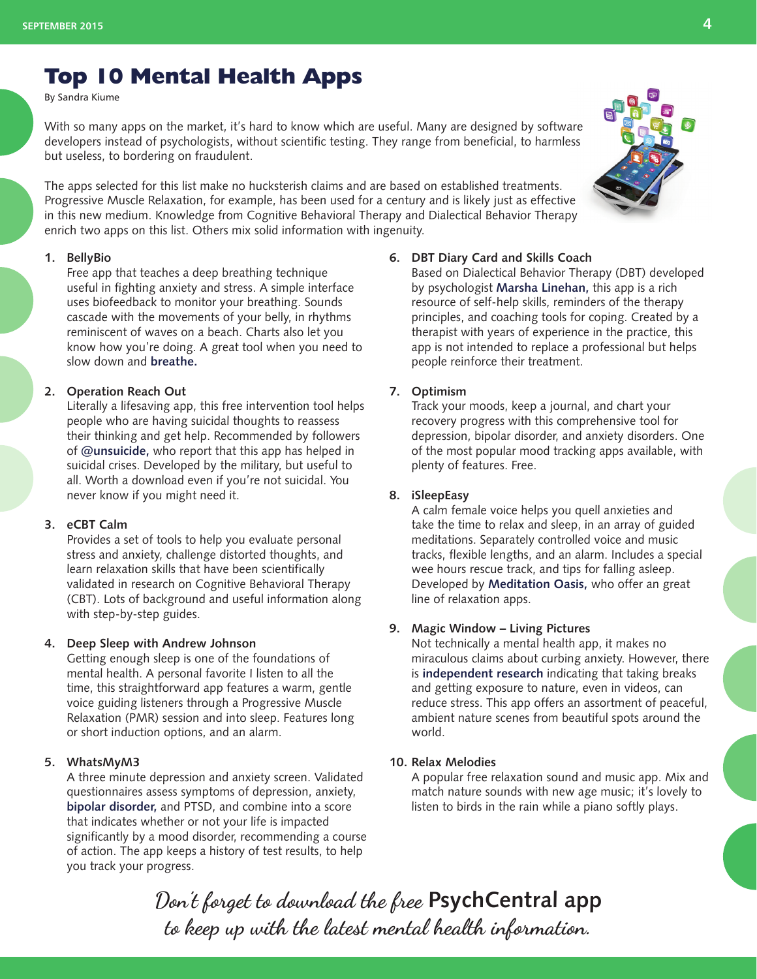# **Top 10 Mental Health Apps**

By Sandra Kiume

With so many apps on the market, it's hard to know which are useful. Many are designed by software developers instead of psychologists, without scientific testing. They range from beneficial, to harmless but useless, to bordering on fraudulent.

The apps selected for this list make no hucksterish claims and are based on established treatments. [Progressive Muscle Relaxation,](http://blogs.psychcentral.com/channeln/2010/10/progressive-muscle-relaxation-soothes-stress/) for example, has been used for a century and is likely just as effective in this new medium. Knowledge from Cognitive Behavioral Therapy and Dialectical Behavior Therapy enrich two apps on this list. Others mix solid information with ingenuity.

#### **1. BellyBio**

Free app that teaches a deep breathing technique useful in fighting anxiety and stress. A simple interface uses biofeedback to monitor your breathing. Sounds cascade with the movements of your belly, in rhythms reminiscent of waves on a beach. Charts also let you know how you're doing. A great tool when you need to slow down and **[breathe.](http://psychcentral.com/blog/archives/2007/02/19/breathe/)**

#### **2. Operation Reach Out**

Literally a lifesaving app, this free intervention tool helps people who are having suicidal thoughts to reassess their thinking and get help. Recommended by followers of **[@unsuicide,](https://twitter.com/unsuicide)** who report that this app has helped in suicidal crises. Developed by the military, but useful to all. Worth a download even if you're not suicidal. You never know if you might need it.

#### **3. eCBT Calm**

Provides a set of tools to help you evaluate personal stress and anxiety, challenge distorted thoughts, and learn relaxation skills that have been scientifically validated in research on Cognitive Behavioral Therapy (CBT). Lots of background and useful information along with step-by-step guides.

#### **4. Deep Sleep with Andrew Johnson**

Getting enough sleep is one of the foundations of mental health. A personal favorite I listen to all the time, this straightforward app features a warm, gentle voice guiding listeners through a Progressive Muscle Relaxation (PMR) session and into sleep. Features long or short induction options, and an alarm.

#### **5. WhatsMyM3**

A three minute depression and anxiety screen. Validated questionnaires assess symptoms of depression, anxiety, **[bipolar disorder,](http://psychcentral.com/disorders/bipolar/)** and PTSD, and combine into a score that indicates whether or not your life is impacted significantly by a mood disorder, recommending a course of action. The app keeps a history of test results, to help you track your progress.

#### **6. DBT Diary Card and Skills Coach**

Based on Dialectical Behavior Therapy (DBT) developed by psychologist **[Marsha Linehan,](http://blogs.psychcentral.com/channeln/2011/02/dialectic-behavioural-therapy-for-suicidality/)** this app is a rich resource of self-help skills, reminders of the therapy principles, and coaching tools for coping. Created by a therapist with years of experience in the practice, this app is not intended to replace a professional but helps people reinforce their treatment.

#### **7. Optimism**

Track your moods, keep a journal, and chart your recovery progress with this comprehensive tool for depression, bipolar disorder, and anxiety disorders. One of the most popular mood tracking apps available, with plenty of features. Free.

#### **8. iSleepEasy**

A calm female voice helps you quell anxieties and take the time to relax and sleep, in an array of guided meditations. Separately controlled voice and music tracks, flexible lengths, and an alarm. Includes a special wee hours rescue track, and tips for falling asleep. Developed by **[Meditation Oasis,](http://www.meditationoasis.com/)** who offer an great line of relaxation apps.

#### **9. Magic Window – Living Pictures**

Not technically a mental health app, it makes no miraculous claims about curbing anxiety. However, there is **[independent research](http://dirt.asla.org/2011/09/08/research-shows-nature-helps-with-stress/)** indicating that taking breaks and getting exposure to nature, even in videos, can reduce stress. This app offers an assortment of peaceful, ambient nature scenes from beautiful spots around the world.

#### **10. Relax Melodies**

A popular free relaxation sound and music app. Mix and match nature sounds with new age music; it's lovely to listen to birds in the rain while a piano softly plays.

**Don't forget to download the free PsychCentral app to keep up with the latest mental health information.**

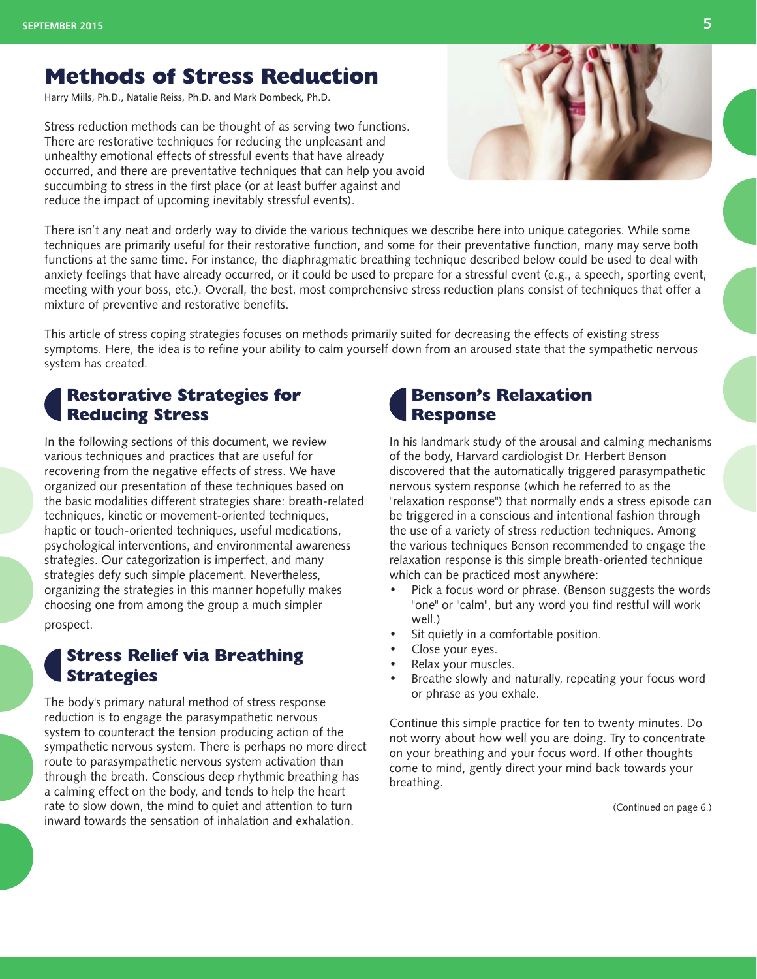# **Methods of Stress Reduction**

Harry Mills, Ph.D., Natalie Reiss, Ph.D. and Mark Dombeck, Ph.D.

Stress reduction methods can be thought of as serving two functions. There are restorative techniques for reducing the unpleasant and unhealthy emotional effects of stressful events that have already occurred, and there are preventative techniques that can help you avoid succumbing to stress in the first place (or at least buffer against and reduce the impact of upcoming inevitably stressful events).



There isn't any neat and orderly way to divide the various techniques we describe here into unique categories. While some techniques are primarily useful for their restorative function, and some for their preventative function, many may serve both functions at the same time. For instance, the diaphragmatic breathing technique described below could be used to deal with anxiety feelings that have already occurred, or it could be used to prepare for a stressful event (e.g., a speech, sporting event, meeting with your boss, etc.). Overall, the best, most comprehensive stress reduction plans consist of techniques that offer a mixture of preventive and restorative benefits.

This article of stress coping strategies focuses on methods primarily suited for decreasing the effects of existing stress symptoms. Here, the idea is to refine your ability to calm yourself down from an aroused state that the sympathetic nervous system has created.

## **Restorative Strategies for Reducing Stress**

In the following sections of this document, we review various techniques and practices that are useful for recovering from the negative effects of stress. We have organized our presentation of these techniques based on the basic modalities different strategies share: breath-related techniques, kinetic or movement-oriented techniques, haptic or touch-oriented techniques, useful medications, psychological interventions, and environmental awareness strategies. Our categorization is imperfect, and many strategies defy such simple placement. Nevertheless, organizing the strategies in this manner hopefully makes choosing one from among the group a much simpler prospect.

## **Stress Relief via Breathing Strategies**

The body's primary natural method of stress response reduction is to engage the parasympathetic nervous system to counteract the tension producing action of the sympathetic nervous system. There is perhaps no more direct route to parasympathetic nervous system activation than through the breath. Conscious deep rhythmic breathing has a calming effect on the body, and tends to help the heart rate to slow down, the mind to quiet and attention to turn inward towards the sensation of inhalation and exhalation.

# **Benson's Relaxation Response**

In his landmark study of the arousal and calming mechanisms of the body, Harvard cardiologist Dr. Herbert Benson discovered that the automatically triggered parasympathetic nervous system response (which he referred to as the "relaxation response") that normally ends a stress episode can be triggered in a conscious and intentional fashion through the use of a variety of stress reduction techniques. Among the various techniques Benson recommended to engage the relaxation response is this simple breath-oriented technique which can be practiced most anywhere:

- Pick a focus word or phrase. (Benson suggests the words "one" or "calm", but any word you find restful will work well.)
- Sit quietly in a comfortable position.
- Close your eyes.
- Relax your muscles.
- Breathe slowly and naturally, repeating your focus word or phrase as you exhale.

Continue this simple practice for ten to twenty minutes. Do not worry about how well you are doing. Try to concentrate on your breathing and your focus word. If other thoughts come to mind, gently direct your mind back towards your breathing.

(Continued on page 6.)